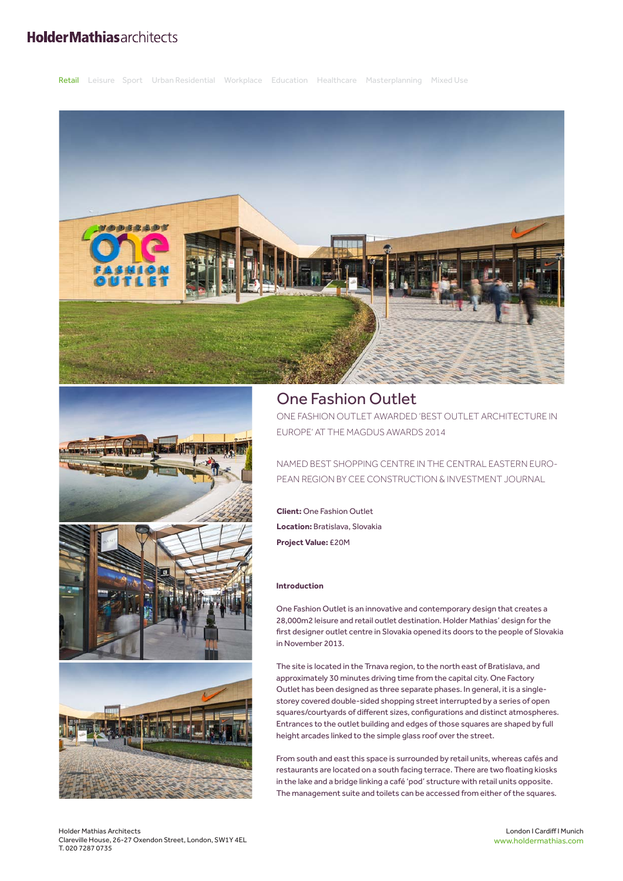# **HolderMathiasarchitects**





## One Fashion Outlet

ONE FASHION OUTLET AWARDED 'BEST OUTLET ARCHITECTURE IN EUROPE' AT THE MAGDUS AWARDS 2014

NAMED BEST SHOPPING CENTRE IN THE CENTRAL EASTERN EURO-PEAN REGION BY CEE CONSTRUCTION & INVESTMENT JOURNAL

**Client:** One Fashion Outlet **Location:** Bratislava, Slovakia **Project Value:** £20M

### **Introduction**

One Fashion Outlet is an innovative and contemporary design that creates a 28,000m2 leisure and retail outlet destination. Holder Mathias' design for the first designer outlet centre in Slovakia opened its doors to the people of Slovakia in November 2013.

The site is located in the Trnava region, to the north east of Bratislava, and approximately 30 minutes driving time from the capital city. One Factory Outlet has been designed as three separate phases. In general, it is a singlestorey covered double-sided shopping street interrupted by a series of open squares/courtyards of different sizes, configurations and distinct atmospheres. Entrances to the outlet building and edges of those squares are shaped by full height arcades linked to the simple glass roof over the street.

From south and east this space is surrounded by retail units, whereas cafés and restaurants are located on a south facing terrace. There are two floating kiosks in the lake and a bridge linking a café 'pod' structure with retail units opposite. The management suite and toilets can be accessed from either of the squares.